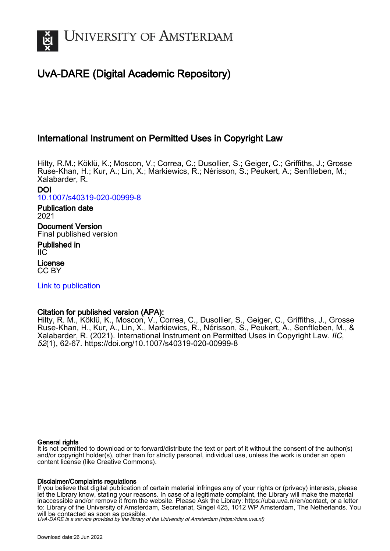

# UvA-DARE (Digital Academic Repository)

# International Instrument on Permitted Uses in Copyright Law

Hilty, R.M.; Köklü, K.; Moscon, V.; Correa, C.; Dusollier, S.; Geiger, C.; Griffiths, J.; Grosse Ruse-Khan, H.; Kur, A.; Lin, X.; Markiewics, R.; Nérisson, S.; Peukert, A.; Senftleben, M.; Xalabarder, R.

#### DOI [10.1007/s40319-020-00999-8](https://doi.org/10.1007/s40319-020-00999-8)

## Publication date 2021 Document Version Final published version

Published in IIC License

CC BY

[Link to publication](https://dare.uva.nl/personal/pure/en/publications/international-instrument-on-permitted-uses-in-copyright-law(87d9a0ce-3c65-4fd0-9e8c-bfa20f32e395).html)

# Citation for published version (APA):

Hilty, R. M., Köklü, K., Moscon, V., Correa, C., Dusollier, S., Geiger, C., Griffiths, J., Grosse Ruse-Khan, H., Kur, A., Lin, X., Markiewics, R., Nérisson, S., Peukert, A., Senftleben, M., & Xalabarder, R. (2021). International Instrument on Permitted Uses in Copyright Law. IIC, 52(1), 62-67. <https://doi.org/10.1007/s40319-020-00999-8>

## General rights

It is not permitted to download or to forward/distribute the text or part of it without the consent of the author(s) and/or copyright holder(s), other than for strictly personal, individual use, unless the work is under an open content license (like Creative Commons).

## Disclaimer/Complaints regulations

If you believe that digital publication of certain material infringes any of your rights or (privacy) interests, please let the Library know, stating your reasons. In case of a legitimate complaint, the Library will make the material inaccessible and/or remove it from the website. Please Ask the Library: https://uba.uva.nl/en/contact, or a letter to: Library of the University of Amsterdam, Secretariat, Singel 425, 1012 WP Amsterdam, The Netherlands. You will be contacted as soon as possible.

UvA-DARE is a service provided by the library of the University of Amsterdam (http*s*://dare.uva.nl)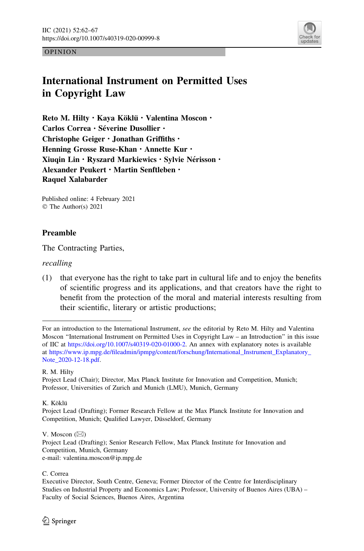

OPINION

# International Instrument on Permitted Uses in Copyright Law

Reto M. Hilty · Kaya Köklü · Valentina Moscon · Carlos Correa · Séverine Dusollier · Christophe Geiger · Jonathan Griffiths · Henning Grosse Ruse-Khan · Annette Kur · Xiugin Lin · Ryszard Markiewics · Sylvie Nérisson · Alexander Peukert · Martin Senftleben · Raquel Xalabarder

Published online: 4 February 2021 © The Author(s) 2021

## Preamble

The Contracting Parties,

recalling

(1) that everyone has the right to take part in cultural life and to enjoy the benefits of scientific progress and its applications, and that creators have the right to benefit from the protection of the moral and material interests resulting from their scientific, literary or artistic productions;

R. M. Hilty

K. Köklü

V. Moscon  $(\boxtimes)$ Project Lead (Drafting); Senior Research Fellow, Max Planck Institute for Innovation and Competition, Munich, Germany e-mail: valentina.moscon@ip.mpg.de

C. Correa

For an introduction to the International Instrument, see the editorial by Reto M. Hilty and Valentina Moscon ''International Instrument on Permitted Uses in Copyright Law – an Introduction'' in this issue of IIC at [https://doi.org/10.1007/s40319-020-01000-2.](https://doi.org/10.1007/s40319-020-01000-2) An annex with explanatory notes is available at [https://www.ip.mpg.de/fileadmin/ipmpg/content/forschung/International\\_Instrument\\_Explanatory\\_](https://www.ip.mpg.de/fileadmin/ipmpg/content/forschung/International_Instrument_Explanatory_Note_2020-12-18.pdf) [Note\\_2020-12-18.pdf](https://www.ip.mpg.de/fileadmin/ipmpg/content/forschung/International_Instrument_Explanatory_Note_2020-12-18.pdf).

Project Lead (Chair); Director, Max Planck Institute for Innovation and Competition, Munich; Professor, Universities of Zurich and Munich (LMU), Munich, Germany

Project Lead (Drafting); Former Research Fellow at the Max Planck Institute for Innovation and Competition, Munich; Qualified Lawyer, Düsseldorf, Germany

Executive Director, South Centre, Geneva; Former Director of the Centre for Interdisciplinary Studies on Industrial Property and Economics Law; Professor, University of Buenos Aires (UBA) – Faculty of Social Sciences, Buenos Aires, Argentina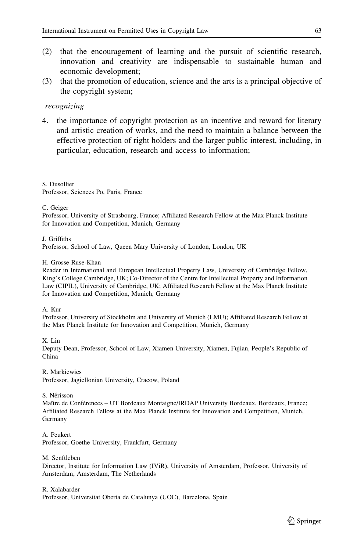- (2) that the encouragement of learning and the pursuit of scientific research, innovation and creativity are indispensable to sustainable human and economic development;
- (3) that the promotion of education, science and the arts is a principal objective of the copyright system;

#### recognizing

4. the importance of copyright protection as an incentive and reward for literary and artistic creation of works, and the need to maintain a balance between the effective protection of right holders and the larger public interest, including, in particular, education, research and access to information;

S. Dusollier

Professor, Sciences Po, Paris, France

C. Geiger

Professor, University of Strasbourg, France; Affiliated Research Fellow at the Max Planck Institute for Innovation and Competition, Munich, Germany

J. Griffiths

Professor, School of Law, Queen Mary University of London, London, UK

H. Grosse Ruse-Khan

Reader in International and European Intellectual Property Law, University of Cambridge Fellow, King's College Cambridge, UK; Co-Director of the Centre for Intellectual Property and Information Law (CIPIL), University of Cambridge, UK; Affiliated Research Fellow at the Max Planck Institute for Innovation and Competition, Munich, Germany

A. Kur

Professor, University of Stockholm and University of Munich (LMU); Affiliated Research Fellow at the Max Planck Institute for Innovation and Competition, Munich, Germany

X. Lin

Deputy Dean, Professor, School of Law, Xiamen University, Xiamen, Fujian, People's Republic of China

R. Markiewics Professor, Jagiellonian University, Cracow, Poland

S. Nérisson

Maître de Conférences – UT Bordeaux Montaigne/IRDAP University Bordeaux, Bordeaux, France; Affiliated Research Fellow at the Max Planck Institute for Innovation and Competition, Munich, Germany

A. Peukert Professor, Goethe University, Frankfurt, Germany

M. Senftleben

Director, Institute for Information Law (IViR), University of Amsterdam, Professor, University of Amsterdam, Amsterdam, The Netherlands

R. Xalabarder

Professor, Universitat Oberta de Catalunya (UOC), Barcelona, Spain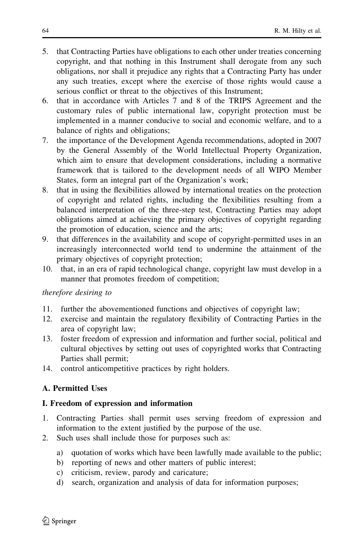- 5. that Contracting Parties have obligations to each other under treaties concerning copyright, and that nothing in this Instrument shall derogate from any such obligations, nor shall it prejudice any rights that a Contracting Party has under any such treaties, except where the exercise of those rights would cause a serious conflict or threat to the objectives of this Instrument;
- 6. that in accordance with Articles 7 and 8 of the TRIPS Agreement and the customary rules of public international law, copyright protection must be implemented in a manner conducive to social and economic welfare, and to a balance of rights and obligations;
- 7. the importance of the Development Agenda recommendations, adopted in 2007 by the General Assembly of the World Intellectual Property Organization, which aim to ensure that development considerations, including a normative framework that is tailored to the development needs of all WIPO Member States, form an integral part of the Organization's work;
- 8. that in using the flexibilities allowed by international treaties on the protection of copyright and related rights, including the flexibilities resulting from a balanced interpretation of the three-step test, Contracting Parties may adopt obligations aimed at achieving the primary objectives of copyright regarding the promotion of education, science and the arts;
- 9. that differences in the availability and scope of copyright-permitted uses in an increasingly interconnected world tend to undermine the attainment of the primary objectives of copyright protection;
- 10. that, in an era of rapid technological change, copyright law must develop in a manner that promotes freedom of competition;

#### therefore desiring to

- 11. further the abovementioned functions and objectives of copyright law;
- 12. exercise and maintain the regulatory flexibility of Contracting Parties in the area of copyright law;
- 13. foster freedom of expression and information and further social, political and cultural objectives by setting out uses of copyrighted works that Contracting Parties shall permit;
- 14. control anticompetitive practices by right holders.

#### A. Permitted Uses

#### I. Freedom of expression and information

- 1. Contracting Parties shall permit uses serving freedom of expression and information to the extent justified by the purpose of the use.
- 2. Such uses shall include those for purposes such as:
	- a) quotation of works which have been lawfully made available to the public;
	- b) reporting of news and other matters of public interest;
	- c) criticism, review, parody and caricature;
	- d) search, organization and analysis of data for information purposes;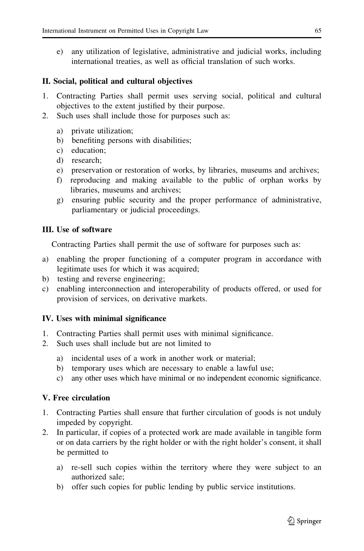e) any utilization of legislative, administrative and judicial works, including international treaties, as well as official translation of such works.

## II. Social, political and cultural objectives

- 1. Contracting Parties shall permit uses serving social, political and cultural objectives to the extent justified by their purpose.
- 2. Such uses shall include those for purposes such as:
	- a) private utilization;
	- b) benefiting persons with disabilities;
	- c) education;
	- d) research;
	- e) preservation or restoration of works, by libraries, museums and archives;
	- f) reproducing and making available to the public of orphan works by libraries, museums and archives;
	- g) ensuring public security and the proper performance of administrative, parliamentary or judicial proceedings.

## III. Use of software

Contracting Parties shall permit the use of software for purposes such as:

- a) enabling the proper functioning of a computer program in accordance with legitimate uses for which it was acquired;
- b) testing and reverse engineering;
- c) enabling interconnection and interoperability of products offered, or used for provision of services, on derivative markets.

## IV. Uses with minimal significance

- 1. Contracting Parties shall permit uses with minimal significance.
- 2. Such uses shall include but are not limited to
	- a) incidental uses of a work in another work or material;
	- b) temporary uses which are necessary to enable a lawful use;
	- c) any other uses which have minimal or no independent economic significance.

## V. Free circulation

- 1. Contracting Parties shall ensure that further circulation of goods is not unduly impeded by copyright.
- 2. In particular, if copies of a protected work are made available in tangible form or on data carriers by the right holder or with the right holder's consent, it shall be permitted to
	- a) re-sell such copies within the territory where they were subject to an authorized sale;
	- b) offer such copies for public lending by public service institutions.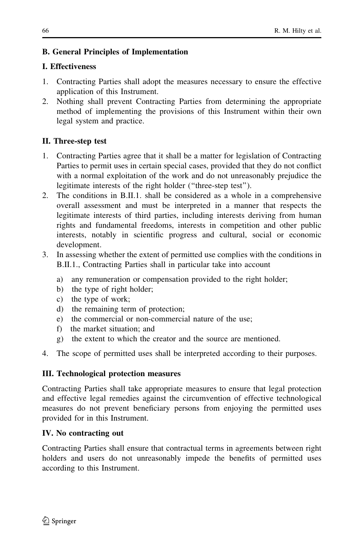## B. General Principles of Implementation

## I. Effectiveness

- 1. Contracting Parties shall adopt the measures necessary to ensure the effective application of this Instrument.
- 2. Nothing shall prevent Contracting Parties from determining the appropriate method of implementing the provisions of this Instrument within their own legal system and practice.

## II. Three-step test

- 1. Contracting Parties agree that it shall be a matter for legislation of Contracting Parties to permit uses in certain special cases, provided that they do not conflict with a normal exploitation of the work and do not unreasonably prejudice the legitimate interests of the right holder (''three-step test'').
- 2. The conditions in B.II.1. shall be considered as a whole in a comprehensive overall assessment and must be interpreted in a manner that respects the legitimate interests of third parties, including interests deriving from human rights and fundamental freedoms, interests in competition and other public interests, notably in scientific progress and cultural, social or economic development.
- 3. In assessing whether the extent of permitted use complies with the conditions in B.II.1., Contracting Parties shall in particular take into account
	- a) any remuneration or compensation provided to the right holder;
	- b) the type of right holder;
	- c) the type of work;
	- d) the remaining term of protection;
	- e) the commercial or non-commercial nature of the use;
	- f) the market situation; and
	- g) the extent to which the creator and the source are mentioned.
- 4. The scope of permitted uses shall be interpreted according to their purposes.

## III. Technological protection measures

Contracting Parties shall take appropriate measures to ensure that legal protection and effective legal remedies against the circumvention of effective technological measures do not prevent beneficiary persons from enjoying the permitted uses provided for in this Instrument.

## IV. No contracting out

Contracting Parties shall ensure that contractual terms in agreements between right holders and users do not unreasonably impede the benefits of permitted uses according to this Instrument.